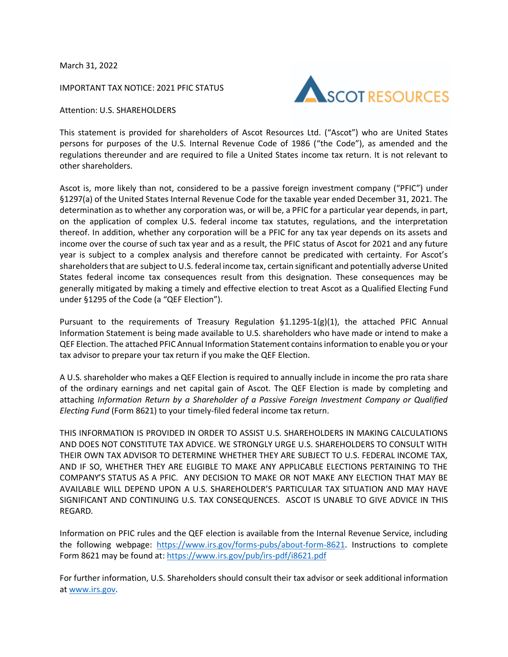March 31, 2022

IMPORTANT TAX NOTICE: 2021 PFIC STATUS



Attention: U.S. SHAREHOLDERS

This statement is provided for shareholders of Ascot Resources Ltd. ("Ascot") who are United States persons for purposes of the U.S. Internal Revenue Code of 1986 ("the Code"), as amended and the regulations thereunder and are required to file a United States income tax return. It is not relevant to other shareholders.

Ascot is, more likely than not, considered to be a passive foreign investment company ("PFIC") under §1297(a) of the United States Internal Revenue Code for the taxable year ended December 31, 2021. The determination as to whether any corporation was, or will be, a PFIC for a particular year depends, in part, on the application of complex U.S. federal income tax statutes, regulations, and the interpretation thereof. In addition, whether any corporation will be a PFIC for any tax year depends on its assets and income over the course of such tax year and as a result, the PFIC status of Ascot for 2021 and any future year is subject to a complex analysis and therefore cannot be predicated with certainty. For Ascot's shareholders that are subject to U.S. federal income tax, certain significant and potentially adverse United States federal income tax consequences result from this designation. These consequences may be generally mitigated by making a timely and effective election to treat Ascot as a Qualified Electing Fund under §1295 of the Code (a "QEF Election").

Pursuant to the requirements of Treasury Regulation  $\S 1.1295-1(g)(1)$ , the attached PFIC Annual Information Statement is being made available to U.S. shareholders who have made or intend to make a QEF Election. The attached PFIC Annual Information Statement contains information to enable you or your tax advisor to prepare your tax return if you make the QEF Election.

A U.S. shareholder who makes a QEF Election is required to annually include in income the pro rata share of the ordinary earnings and net capital gain of Ascot. The QEF Election is made by completing and attaching *Information Return by a Shareholder of a Passive Foreign Investment Company or Qualified Electing Fund* (Form 8621) to your timely-filed federal income tax return.

THIS INFORMATION IS PROVIDED IN ORDER TO ASSIST U.S. SHAREHOLDERS IN MAKING CALCULATIONS AND DOES NOT CONSTITUTE TAX ADVICE. WE STRONGLY URGE U.S. SHAREHOLDERS TO CONSULT WITH THEIR OWN TAX ADVISOR TO DETERMINE WHETHER THEY ARE SUBJECT TO U.S. FEDERAL INCOME TAX, AND IF SO, WHETHER THEY ARE ELIGIBLE TO MAKE ANY APPLICABLE ELECTIONS PERTAINING TO THE COMPANY'S STATUS AS A PFIC. ANY DECISION TO MAKE OR NOT MAKE ANY ELECTION THAT MAY BE AVAILABLE WILL DEPEND UPON A U.S. SHAREHOLDER'S PARTICULAR TAX SITUATION AND MAY HAVE SIGNIFICANT AND CONTINUING U.S. TAX CONSEQUENCES. ASCOT IS UNABLE TO GIVE ADVICE IN THIS REGARD.

Information on PFIC rules and the QEF election is available from the Internal Revenue Service, including the following webpage: https://www.irs.gov/forms-pubs/about-form-8621. Instructions to complete Form 8621 may be found at: https://www.irs.gov/pub/irs-pdf/i8621.pdf

For further information, U.S. Shareholders should consult their tax advisor or seek additional information a[t www.irs.gov.](http://www.irs.gov/)